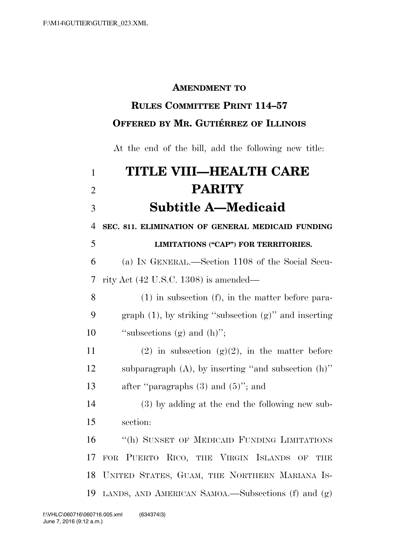#### **AMENDMENT TO**

## **RULES COMMITTEE PRINT 114–57 OFFERED BY MR. GUTIÉRREZ OF ILLINOIS**

At the end of the bill, add the following new title:

| $\mathbf{1}$   | TITLE VIII—HEALTH CARE                                      |
|----------------|-------------------------------------------------------------|
| $\overline{2}$ | <b>PARITY</b>                                               |
| 3              | <b>Subtitle A-Medicaid</b>                                  |
| $\overline{4}$ | SEC. 811. ELIMINATION OF GENERAL MEDICAID FUNDING           |
| 5              | <b>LIMITATIONS ("CAP") FOR TERRITORIES.</b>                 |
| 6              | (a) IN GENERAL.—Section 1108 of the Social Secu-            |
| $\tau$         | rity Act $(42 \text{ U.S.C. } 1308)$ is amended—            |
| 8              | $(1)$ in subsection $(f)$ , in the matter before para-      |
| 9              | graph $(1)$ , by striking "subsection $(g)$ " and inserting |
| 10             | "subsections (g) and $(h)$ ";                               |
| 11             | $(2)$ in subsection $(g)(2)$ , in the matter before         |
| 12             | subparagraph $(A)$ , by inserting "and subsection $(h)$ "   |
| 13             | after "paragraphs $(3)$ and $(5)$ "; and                    |
| 14             | (3) by adding at the end the following new sub-             |
| 15             | section:                                                    |
| 16             | "(h) SUNSET OF MEDICAID FUNDING LIMITATIONS                 |
| 17             | FOR PUERTO RICO, THE VIRGIN ISLANDS OF<br><b>THE</b>        |
| 18             | UNITED STATES, GUAM, THE NORTHERN MARIANA IS-               |
| 19             | LANDS, AND AMERICAN SAMOA.—Subsections $(f)$ and $(g)$      |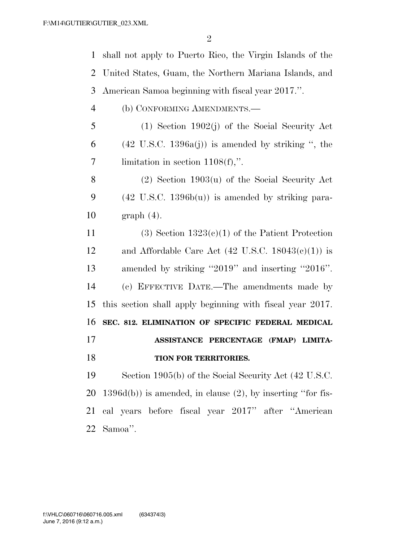shall not apply to Puerto Rico, the Virgin Islands of the United States, Guam, the Northern Mariana Islands, and American Samoa beginning with fiscal year 2017.''.

- (b) CONFORMING AMENDMENTS.—
- (1) Section 1902(j) of the Social Security Act 6 (42 U.S.C. 1396a(j)) is amended by striking ", the limitation in section 1108(f),''.
- (2) Section 1903(u) of the Social Security Act (42 U.S.C. 1396b(u)) is amended by striking para-graph (4).
- 11 (3) Section  $1323(c)(1)$  of the Patient Protection 12 and Affordable Care Act  $(42 \text{ U.S.C. } 18043(c)(1))$  is amended by striking ''2019'' and inserting ''2016''. (c) EFFECTIVE DATE.—The amendments made by this section shall apply beginning with fiscal year 2017. **SEC. 812. ELIMINATION OF SPECIFIC FEDERAL MEDICAL ASSISTANCE PERCENTAGE (FMAP) LIMITA- TION FOR TERRITORIES.**  Section 1905(b) of the Social Security Act (42 U.S.C.

20 1396d(b)) is amended, in clause  $(2)$ , by inserting "for fis- cal years before fiscal year 2017'' after ''American Samoa''.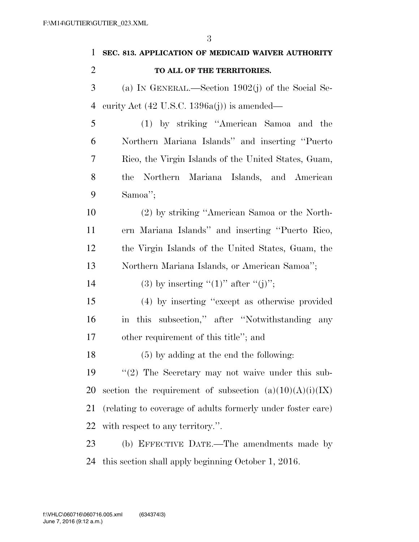| $\mathbf{1}$   | SEC. 813. APPLICATION OF MEDICAID WAIVER AUTHORITY          |
|----------------|-------------------------------------------------------------|
| $\overline{2}$ | TO ALL OF THE TERRITORIES.                                  |
| 3              | (a) IN GENERAL.—Section $1902(j)$ of the Social Se-         |
| $\overline{4}$ | curity Act $(42 \text{ U.S.C. } 1396a(j))$ is amended—      |
| 5              | (1) by striking "American Samoa and the                     |
| 6              | Northern Mariana Islands" and inserting "Puerto             |
| 7              | Rico, the Virgin Islands of the United States, Guam,        |
| 8              | Northern Mariana Islands, and American<br>the               |
| 9              | Samoa";                                                     |
| 10             | (2) by striking "American Samoa or the North-               |
| 11             | ern Mariana Islands" and inserting "Puerto Rico,            |
| 12             | the Virgin Islands of the United States, Guam, the          |
| 13             | Northern Mariana Islands, or American Samoa";               |
| 14             | (3) by inserting " $(1)$ " after " $(j)$ ";                 |
| 15             | (4) by inserting "except as otherwise provided              |
| 16             | in this subsection," after "Notwithstanding any             |
| 17             | other requirement of this title"; and                       |
| 18             | (5) by adding at the end the following:                     |
| 19             | $\lq(2)$ The Secretary may not waive under this sub-        |
| <b>20</b>      | section the requirement of subsection $(a)(10)(A)(i)(IX)$   |
| 21             | (relating to coverage of adults formerly under foster care) |
| 22             | with respect to any territory.".                            |
| 23             | (b) EFFECTIVE DATE.—The amendments made by                  |
| 24             | this section shall apply beginning October 1, 2016.         |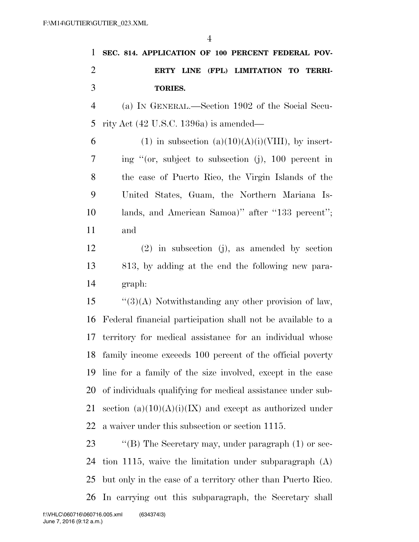| 1              | SEC. 814. APPLICATION OF 100 PERCENT FEDERAL POV-            |
|----------------|--------------------------------------------------------------|
| $\overline{2}$ | ERTY LINE (FPL) LIMITATION TO TERRI-                         |
| 3              | TORIES.                                                      |
| $\overline{4}$ | (a) IN GENERAL.—Section 1902 of the Social Secu-             |
| 5              | rity Act $(42 \text{ U.S.C. } 1396a)$ is amended—            |
| 6              | $(1)$ in subsection $(a)(10)(A)(i)(VIII)$ , by insert-       |
| 7              | ing "(or, subject to subsection (j), 100 percent in          |
| 8              | the case of Puerto Rico, the Virgin Islands of the           |
| 9              | United States, Guam, the Northern Mariana Is-                |
| 10             | lands, and American Samoa)" after "133 percent";             |
| 11             | and                                                          |
| 12             | $(2)$ in subsection (j), as amended by section               |
| 13             | 813, by adding at the end the following new para-            |
| 14             | graph:                                                       |
| 15             | $``(3)(A)$ Notwithstanding any other provision of law,       |
| 16             | Federal financial participation shall not be available to a  |
| 17             | territory for medical assistance for an individual whose     |
|                | 18 family income exceeds 100 percent of the official poverty |
| 19             | line for a family of the size involved, except in the case   |
| 20             | of individuals qualifying for medical assistance under sub-  |
| 21             | section $(a)(10)(A)(i)(IX)$ and except as authorized under   |
| 22             | a waiver under this subsection or section 1115.              |
| 23             | "(B) The Secretary may, under paragraph $(1)$ or sec-        |
| 24             | tion 1115, waive the limitation under subparagraph $(A)$     |
| 25             | but only in the case of a territory other than Puerto Rico.  |
| 26             | In carrying out this subparagraph, the Secretary shall       |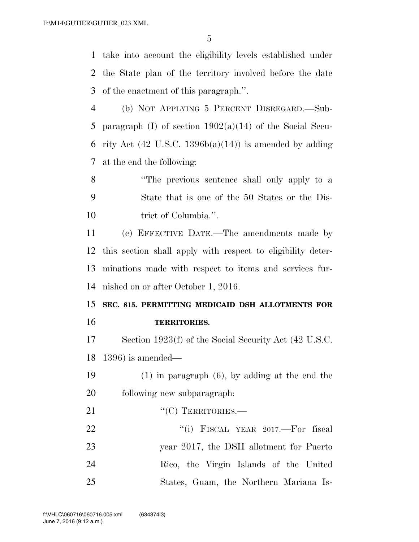take into account the eligibility levels established under the State plan of the territory involved before the date of the enactment of this paragraph.''.

 (b) NOT APPLYING 5 PERCENT DISREGARD.—Sub-5 paragraph (I) of section  $1902(a)(14)$  of the Social Secu-6 rity Act  $(42 \text{ U.S.C. } 1396b(a)(14))$  is amended by adding at the end the following:

 ''The previous sentence shall only apply to a State that is one of the 50 States or the Dis-10 trict of Columbia.".

 (c) EFFECTIVE DATE.—The amendments made by this section shall apply with respect to eligibility deter- minations made with respect to items and services fur-nished on or after October 1, 2016.

 **SEC. 815. PERMITTING MEDICAID DSH ALLOTMENTS FOR TERRITORIES.** 

 Section 1923(f) of the Social Security Act (42 U.S.C. 1396) is amended—

 (1) in paragraph (6), by adding at the end the following new subparagraph:

21 "'(C) TERRITORIES.—

22 "(i) FISCAL YEAR 2017.—For fiscal year 2017, the DSH allotment for Puerto Rico, the Virgin Islands of the United States, Guam, the Northern Mariana Is-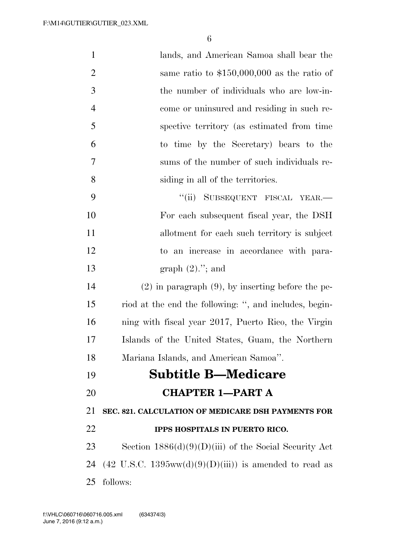| $\mathbf{1}$   | lands, and American Samoa shall bear the                                  |
|----------------|---------------------------------------------------------------------------|
| $\overline{2}$ | same ratio to $$150,000,000$ as the ratio of                              |
| 3              | the number of individuals who are low-in-                                 |
| $\overline{4}$ | come or uninsured and residing in such re-                                |
| 5              | spective territory (as estimated from time                                |
| 6              | to time by the Secretary) bears to the                                    |
| 7              | sums of the number of such individuals re-                                |
| 8              | siding in all of the territories.                                         |
| 9              | ``(ii)<br>SUBSEQUENT FISCAL YEAR.                                         |
| 10             | For each subsequent fiscal year, the DSH                                  |
| 11             | allotment for each such territory is subject                              |
| 12             | to an increase in accordance with para-                                   |
| 13             | graph $(2)$ ."; and                                                       |
| 14             | $(2)$ in paragraph $(9)$ , by inserting before the pe-                    |
| 15             | riod at the end the following: ", and includes, begin-                    |
| 16             | ning with fiscal year 2017, Puerto Rico, the Virgin                       |
| 17             | Islands of the United States, Guam, the Northern                          |
| 18             | Mariana Islands, and American Samoa".                                     |
| 19             | <b>Subtitle B—Medicare</b>                                                |
| 20             | <b>CHAPTER 1-PART A</b>                                                   |
| 21             | SEC. 821. CALCULATION OF MEDICARE DSH PAYMENTS FOR                        |
| 22             | IPPS HOSPITALS IN PUERTO RICO.                                            |
| 23             | Section $1886(d)(9)(D)(iii)$ of the Social Security Act                   |
| 24             | $(42 \text{ U.S.C. } 1395 \text{ww}(d)(9)(D)(iii))$ is amended to read as |
| 25             | follows:                                                                  |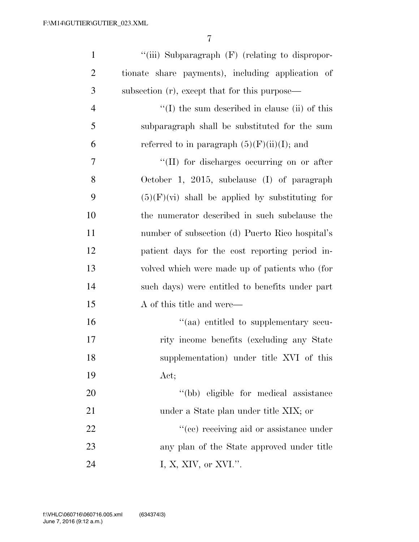| $\mathbf{1}$   | "(iii) Subparagraph $(F)$ (relating to dispropor-     |
|----------------|-------------------------------------------------------|
| $\overline{2}$ | tionate share payments), including application of     |
| $\mathfrak{Z}$ | subsection (r), except that for this purpose—         |
| $\overline{4}$ | $\lq\lq$ (I) the sum described in clause (ii) of this |
| 5              | subparagraph shall be substituted for the sum         |
| 6              | referred to in paragraph $(5)(F)(ii)(I)$ ; and        |
| 7              | "(II) for discharges occurring on or after            |
| 8              | October 1, 2015, subclause $(I)$ of paragraph         |
| 9              | $(5)(F)(vi)$ shall be applied by substituting for     |
| 10             | the numerator described in such subclause the         |
| 11             | number of subsection (d) Puerto Rico hospital's       |
| 12             | patient days for the cost reporting period in-        |
| 13             | volved which were made up of patients who (for        |
| 14             | such days) were entitled to benefits under part       |
| 15             | A of this title and were—                             |
| 16             | "(aa) entitled to supplementary secu-                 |
| 17             | rity income benefits (excluding any State             |
| 18             | supplementation) under title XVI of this              |
| 19             | Act;                                                  |
| 20             | "(bb) eligible for medical assistance                 |
| 21             | under a State plan under title XIX; or                |
| 22             | "(cc) receiving aid or assistance under               |
| 23             | any plan of the State approved under title            |
| 24             | I, X, XIV, or XVI.".                                  |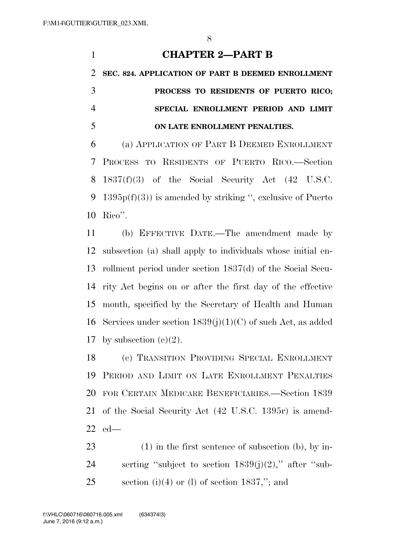# **CHAPTER 2—PART B SEC. 824. APPLICATION OF PART B DEEMED ENROLLMENT PROCESS TO RESIDENTS OF PUERTO RICO; SPECIAL ENROLLMENT PERIOD AND LIMIT ON LATE ENROLLMENT PENALTIES.**  (a) APPLICATION OF PART B DEEMED ENROLLMENT PROCESS TO RESIDENTS OF PUERTO RICO.—Section 8  $1837(f)(3)$  of the Social Security Act  $(42 \text{ U.S.C.})$

9 1395 $p(f)(3)$  is amended by striking ", exclusive of Puerto Rico''.

 (b) EFFECTIVE DATE.—The amendment made by subsection (a) shall apply to individuals whose initial en- rollment period under section 1837(d) of the Social Secu- rity Act begins on or after the first day of the effective month, specified by the Secretary of Health and Human 16 Services under section  $1839(j)(1)(C)$  of such Act, as added 17 by subsection  $(e)(2)$ .

 (c) TRANSITION PROVIDING SPECIAL ENROLLMENT PERIOD AND LIMIT ON LATE ENROLLMENT PENALTIES FOR CERTAIN MEDICARE BENEFICIARIES.—Section 1839 of the Social Security Act (42 U.S.C. 1395r) is amend-ed—

 (1) in the first sentence of subsection (b), by in-24 serting "subject to section  $1839(j)(2)$ ," after "sub-25 section (i)(4) or (l) of section ,"; and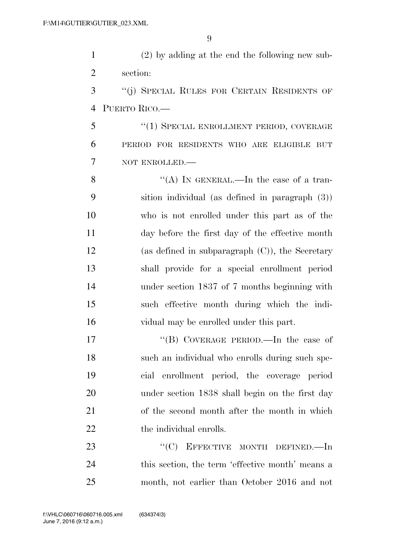(2) by adding at the end the following new sub-section:

 ''(j) SPECIAL RULES FOR CERTAIN RESIDENTS OF PUERTO RICO.—

5 "(1) SPECIAL ENROLLMENT PERIOD, COVERAGE PERIOD FOR RESIDENTS WHO ARE ELIGIBLE BUT NOT ENROLLED.—

 $\langle (A) \rangle$  In GENERAL.—In the case of a tran- sition individual (as defined in paragraph (3)) who is not enrolled under this part as of the day before the first day of the effective month (as defined in subparagraph (C)), the Secretary shall provide for a special enrollment period under section 1837 of 7 months beginning with such effective month during which the indi-vidual may be enrolled under this part.

17 "(B) COVERAGE PERIOD.—In the case of such an individual who enrolls during such spe- cial enrollment period, the coverage period under section 1838 shall begin on the first day of the second month after the month in which 22 the individual enrolls.

23 "'(C) EFFECTIVE MONTH DEFINED.—In this section, the term 'effective month' means a month, not earlier than October 2016 and not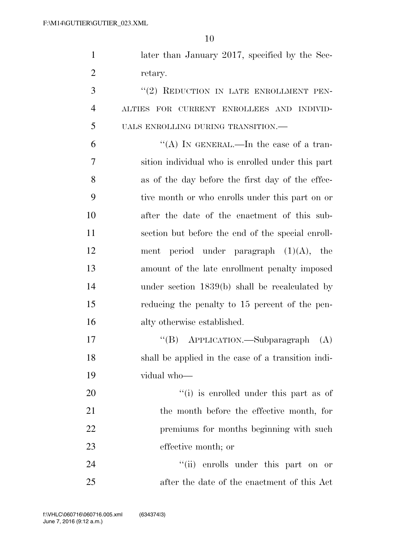1 later than January 2017, specified by the Sec-retary.

3 "(2) REDUCTION IN LATE ENROLLMENT PEN- ALTIES FOR CURRENT ENROLLEES AND INDIVID-UALS ENROLLING DURING TRANSITION.—

 $"$ (A) In GENERAL.—In the case of a tran- sition individual who is enrolled under this part as of the day before the first day of the effec- tive month or who enrolls under this part on or after the date of the enactment of this sub- section but before the end of the special enroll-12 ment period under paragraph  $(1)(A)$ , the amount of the late enrollment penalty imposed under section 1839(b) shall be recalculated by reducing the penalty to 15 percent of the pen-alty otherwise established.

17 "'(B) APPLICATION.—Subparagraph (A) shall be applied in the case of a transition indi-vidual who—

 $\frac{1}{1}$  is enrolled under this part as of the month before the effective month, for 22 premiums for months beginning with such effective month; or

24 ''(ii) enrolls under this part on or after the date of the enactment of this Act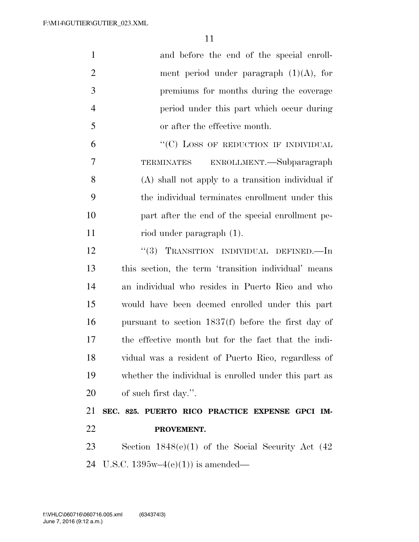| $\mathbf{1}$   | and before the end of the special enroll-              |
|----------------|--------------------------------------------------------|
| $\overline{2}$ | ment period under paragraph $(1)(A)$ , for             |
| 3              | premiums for months during the coverage                |
| $\overline{4}$ | period under this part which occur during              |
| 5              | or after the effective month.                          |
| 6              | "(C) LOSS OF REDUCTION IF INDIVIDUAL                   |
| 7              | ENROLLMENT.—Subparagraph<br>TERMINATES                 |
| 8              | (A) shall not apply to a transition individual if      |
| 9              | the individual terminates enrollment under this        |
| 10             | part after the end of the special enrollment pe-       |
| 11             | riod under paragraph (1).                              |
| 12             | "(3) TRANSITION INDIVIDUAL DEFINED.—In                 |
| 13             | this section, the term 'transition individual' means   |
| 14             | an individual who resides in Puerto Rico and who       |
| 15             | would have been deemed enrolled under this part        |
| 16             | pursuant to section $1837(f)$ before the first day of  |
| 17             | the effective month but for the fact that the indi-    |
| 18             | vidual was a resident of Puerto Rico, regardless of    |
| 19             | whether the individual is enrolled under this part as  |
| 20             | of such first day.".                                   |
| 21             | SEC. 825. PUERTO RICO PRACTICE EXPENSE GPCI IM-        |
| 22             | PROVEMENT.                                             |
| 23             | Section $1848(e)(1)$ of the Social Security Act $(42)$ |
|                |                                                        |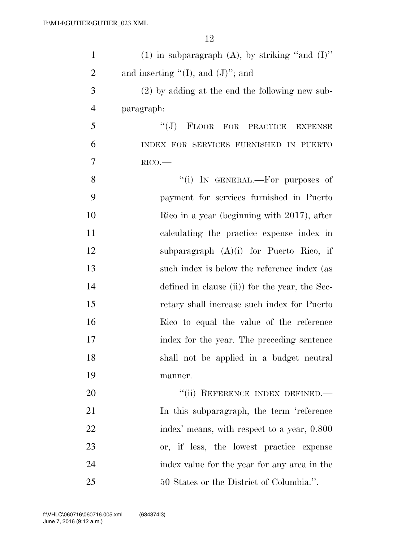| $\mathbf{1}$   | (1) in subparagraph (A), by striking "and $(I)$ " |
|----------------|---------------------------------------------------|
| $\overline{2}$ | and inserting " $(I)$ , and $(J)$ "; and          |
| 3              | $(2)$ by adding at the end the following new sub- |
| $\overline{4}$ | paragraph:                                        |
| 5              | $``(J)$ FLOOR FOR PRACTICE<br><b>EXPENSE</b>      |
| 6              | INDEX FOR SERVICES FURNISHED IN PUERTO            |
| $\overline{7}$ | RICO.                                             |
| 8              | "(i) IN GENERAL.-For purposes of                  |
| 9              | payment for services furnished in Puerto          |
| 10             | Rico in a year (beginning with 2017), after       |
| 11             | calculating the practice expense index in         |
| 12             | subparagraph $(A)(i)$ for Puerto Rico, if         |
| 13             | such index is below the reference index (as       |
| 14             | defined in clause (ii)) for the year, the Sec-    |
| 15             | retary shall increase such index for Puerto       |
| 16             | Rico to equal the value of the reference          |
| 17             | index for the year. The preceding sentence        |
| 18             | shall not be applied in a budget neutral          |
| 19             | manner.                                           |
| 20             | "(ii) REFERENCE INDEX DEFINED.-                   |
| 21             | In this subparagraph, the term 'reference         |
| 22             | index' means, with respect to a year, 0.800       |
| 23             | or, if less, the lowest practice expense          |
| 24             | index value for the year for any area in the      |
| 25             | 50 States or the District of Columbia.".          |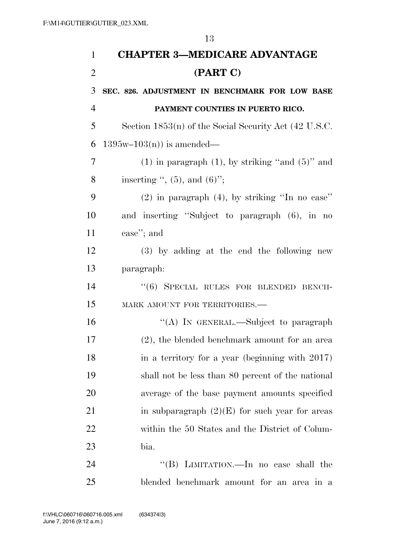| 1              | <b>CHAPTER 3-MEDICARE ADVANTAGE</b>                     |
|----------------|---------------------------------------------------------|
| $\overline{2}$ | (PART C)                                                |
| 3              | SEC. 826. ADJUSTMENT IN BENCHMARK FOR LOW BASE          |
| $\overline{4}$ | PAYMENT COUNTIES IN PUERTO RICO.                        |
| 5              | Section $1853(n)$ of the Social Security Act (42 U.S.C. |
| 6              | $1395w-103(n)$ is amended—                              |
| 7              | $(1)$ in paragraph $(1)$ , by striking "and $(5)$ " and |
| 8              | inserting $\cdot$ , (5), and (6)";                      |
| 9              | $(2)$ in paragraph $(4)$ , by striking "In no case"     |
| 10             | and inserting "Subject to paragraph (6), in no          |
| 11             | case"; and                                              |
| 12             | (3) by adding at the end the following new              |
| 13             | paragraph:                                              |
| 14             | "(6) SPECIAL RULES FOR BLENDED BENCH-                   |
| 15             | MARK AMOUNT FOR TERRITORIES.-                           |
| 16             | "(A) IN GENERAL.—Subject to paragraph                   |
| 17             | (2), the blended benchmark amount for an area           |
| 18             | in a territory for a year (beginning with 2017)         |
| 19             | shall not be less than 80 percent of the national       |
| 20             | average of the base payment amounts specified           |
| 21             | in subparagraph $(2)(E)$ for such year for areas        |
| 22             | within the 50 States and the District of Colum-         |
| 23             | bia.                                                    |
| 24             | "(B) LIMITATION.—In no case shall the                   |
| 25             | blended benchmark amount for an area in a               |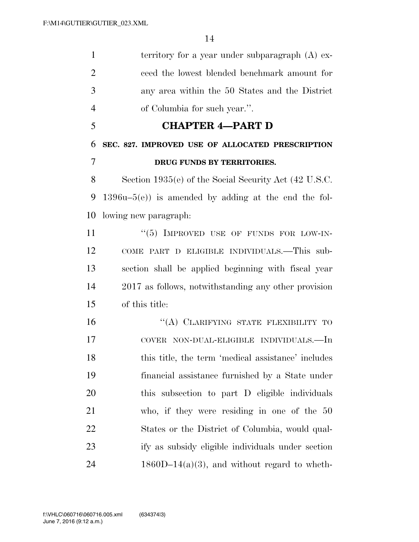| 1              | territory for a year under subparagraph $(A)$ ex-     |
|----------------|-------------------------------------------------------|
| $\overline{2}$ | ceed the lowest blended benchmark amount for          |
| 3              | any area within the 50 States and the District        |
| $\overline{4}$ | of Columbia for such year.".                          |
| 5              | <b>CHAPTER 4-PART D</b>                               |
| 6              | SEC. 827. IMPROVED USE OF ALLOCATED PRESCRIPTION      |
| 7              | DRUG FUNDS BY TERRITORIES.                            |
| 8              | Section 1935(e) of the Social Security Act (42 U.S.C. |
| 9              | $1396u-5(e)$ is amended by adding at the end the fol- |
| 10             | lowing new paragraph:                                 |
| 11             | "(5) IMPROVED USE OF FUNDS FOR LOW-IN-                |
| 12             | COME PART D ELIGIBLE INDIVIDUALS.-This sub-           |
| 13             | section shall be applied beginning with fiscal year   |
| 14             | 2017 as follows, notwithstanding any other provision  |
| 15             | of this title:                                        |
| 16             | "(A) CLARIFYING STATE FLEXIBILITY TO                  |
| 17             | COVER NON-DUAL-ELIGIBLE INDIVIDUALS.—In               |
| 18             | this title, the term 'medical assistance' includes    |
| 19             | financial assistance furnished by a State under       |
| <b>20</b>      | this subsection to part D eligible individuals        |
| 21             | who, if they were residing in one of the $50$         |
| <u>22</u>      | States or the District of Columbia, would qual-       |
| 23             | ify as subsidy eligible individuals under section     |
| 24             | $1860D-14(a)(3)$ , and without regard to wheth-       |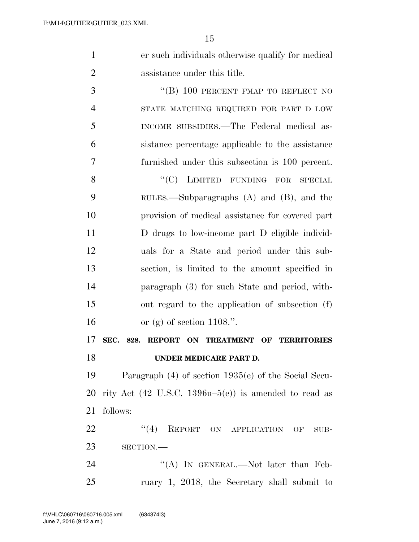| er such individuals otherwise qualify for medical |
|---------------------------------------------------|
| assistance under this title.                      |

3 "(B) 100 PERCENT FMAP TO REFLECT NO STATE MATCHING REQUIRED FOR PART D LOW INCOME SUBSIDIES.—The Federal medical as- sistance percentage applicable to the assistance furnished under this subsection is 100 percent. 8 "(C) LIMITED FUNDING FOR SPECIAL RULES.—Subparagraphs (A) and (B), and the provision of medical assistance for covered part D drugs to low-income part D eligible individ- uals for a State and period under this sub- section, is limited to the amount specified in paragraph (3) for such State and period, with- out regard to the application of subsection (f) or (g) of section 1108.''.

### **SEC. 828. REPORT ON TREATMENT OF TERRITORIES UNDER MEDICARE PART D.**

 Paragraph (4) of section 1935(e) of the Social Secu-20 rity Act  $(42 \text{ U.S.C. } 1396u-5(e))$  is amended to read as follows:

22 "(4) REPORT ON APPLICATION OF SUB-SECTION.—

24 "(A) In GENERAL.—Not later than Feb-ruary 1, 2018, the Secretary shall submit to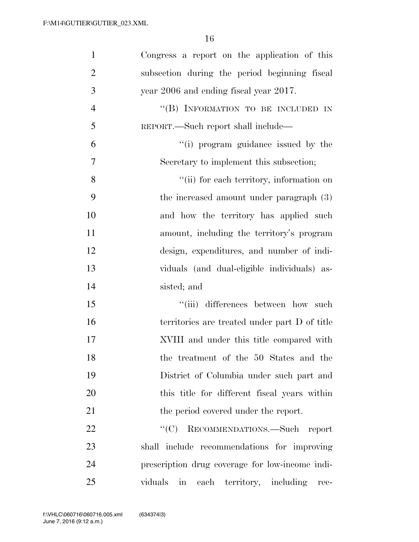| $\mathbf{1}$   | Congress a report on the application of this    |
|----------------|-------------------------------------------------|
| $\overline{2}$ | subsection during the period beginning fiscal   |
| 3              | year 2006 and ending fiscal year 2017.          |
| $\overline{4}$ | "(B) INFORMATION TO BE INCLUDED IN              |
| 5              | REPORT.—Such report shall include—              |
| 6              | "(i) program guidance issued by the             |
| $\overline{7}$ | Secretary to implement this subsection;         |
| 8              | "(ii) for each territory, information on        |
| 9              | the increased amount under paragraph (3)        |
| 10             | and how the territory has applied such          |
| 11             | amount, including the territory's program       |
| 12             | design, expenditures, and number of indi-       |
| 13             | viduals (and dual-eligible individuals) as-     |
| 14             | sisted; and                                     |
| 15             | "(iii) differences between how such             |
| 16             | territories are treated under part D of title   |
| 17             | XVIII and under this title compared with        |
| 18             | the treatment of the 50 States and the          |
| 19             | District of Columbia under such part and        |
| 20             | this title for different fiscal years within    |
| 21             | the period covered under the report.            |
| 22             | ``(C)<br>RECOMMENDATIONS.-Such report           |
| 23             | shall include recommendations for improving     |
| 24             | prescription drug coverage for low-income indi- |
| 25             | viduals in each territory, including<br>rec-    |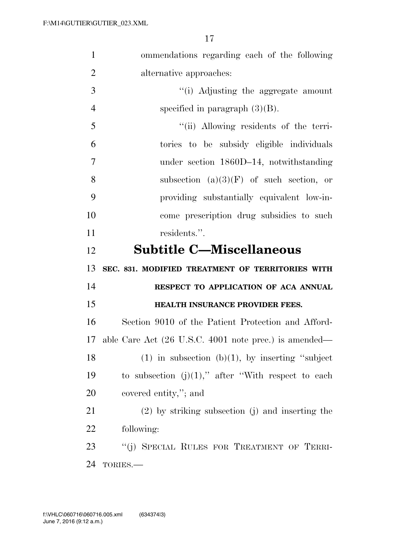| $\mathbf{1}$   | ommendations regarding each of the following                             |
|----------------|--------------------------------------------------------------------------|
| $\overline{2}$ | alternative approaches:                                                  |
| 3              | "(i) Adjusting the aggregate amount                                      |
| $\overline{4}$ | specified in paragraph $(3)(B)$ .                                        |
| 5              | "(ii) Allowing residents of the terri-                                   |
| 6              | tories to be subsidy eligible individuals                                |
| $\overline{7}$ | under section 1860D-14, notwithstanding                                  |
| 8              | subsection $(a)(3)(F)$ of such section, or                               |
| 9              | providing substantially equivalent low-in-                               |
| 10             | come prescription drug subsidies to such                                 |
| 11             | residents.".                                                             |
| 12             | <b>Subtitle C-Miscellaneous</b>                                          |
|                |                                                                          |
|                | SEC. 831. MODIFIED TREATMENT OF TERRITORIES WITH                         |
|                | RESPECT TO APPLICATION OF ACA ANNUAL                                     |
| 13<br>14<br>15 | HEALTH INSURANCE PROVIDER FEES.                                          |
| 16             | Section 9010 of the Patient Protection and Afford-                       |
| 17             | able Care Act $(26 \text{ U.S.C. } 4001 \text{ note prec.})$ is amended— |
| 18             | $(1)$ in subsection $(b)(1)$ , by inserting "subject"                    |
| 19             | to subsection $(j)(1)$ ," after "With respect to each                    |
| 20             | covered entity,"; and                                                    |
| 21             | $(2)$ by striking subsection $(j)$ and inserting the                     |
| 22             | following:                                                               |
| 23             | "(j) SPECIAL RULES FOR TREATMENT OF TERRI-                               |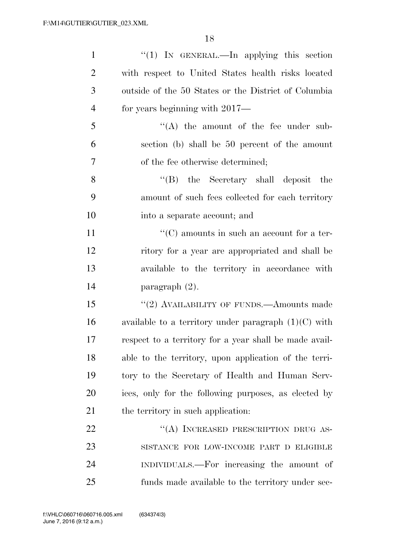| $\mathbf{1}$   | "(1) IN GENERAL.—In applying this section              |
|----------------|--------------------------------------------------------|
| $\overline{2}$ | with respect to United States health risks located     |
| 3              | outside of the 50 States or the District of Columbia   |
| $\overline{4}$ | for years beginning with 2017—                         |
| 5              | $\lq\lq$ the amount of the fee under sub-              |
| 6              | section (b) shall be 50 percent of the amount          |
| 7              | of the fee otherwise determined;                       |
| 8              | "(B) the Secretary shall deposit<br>the                |
| 9              | amount of such fees collected for each territory       |
| 10             | into a separate account; and                           |
| 11             | $\lq\lq$ amounts in such an account for a ter-         |
| 12             | ritory for a year are appropriated and shall be        |
| 13             | available to the territory in accordance with          |
| 14             | paragraph $(2)$ .                                      |
| 15             | "(2) AVAILABILITY OF FUNDS.—Amounts made               |
| 16             | available to a territory under paragraph $(1)(C)$ with |
| 17             | respect to a territory for a year shall be made avail- |
| 18             | able to the territory, upon application of the terri-  |
| 19             | tory to the Secretary of Health and Human Serv-        |
| 20             | ices, only for the following purposes, as elected by   |
| 21             | the territory in such application:                     |
| 22             | "(A) INCREASED PRESCRIPTION DRUG AS-                   |
| 23             | SISTANCE FOR LOW-INCOME PART D ELIGIBLE                |
| 24             | INDIVIDUALS.—For increasing the amount of              |
| 25             | funds made available to the territory under sec-       |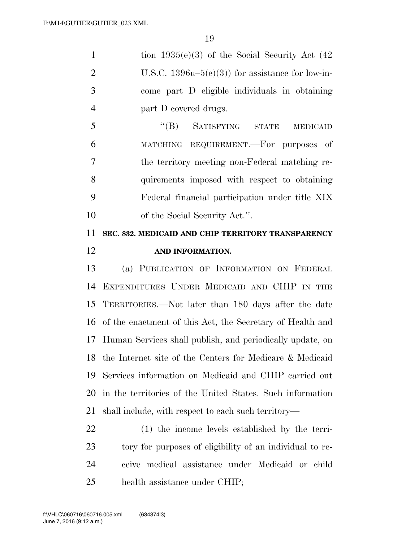| $\mathbf{1}$   | tion $1935(e)(3)$ of the Social Security Act (42)           |
|----------------|-------------------------------------------------------------|
| $\overline{2}$ | U.S.C. $1396u-5(e)(3)$ for assistance for low-in-           |
| 3              | come part D eligible individuals in obtaining               |
| $\overline{4}$ | part D covered drugs.                                       |
| 5              | $\lq\lq (B)$<br>SATISFYING STATE<br><b>MEDICAID</b>         |
| 6              | MATCHING REQUIREMENT. For purposes of                       |
| 7              | the territory meeting non-Federal matching re-              |
| 8              | quirements imposed with respect to obtaining                |
| 9              | Federal financial participation under title XIX             |
| 10             | of the Social Security Act.".                               |
| 11             | SEC. 832. MEDICAID AND CHIP TERRITORY TRANSPARENCY          |
| 12             | AND INFORMATION.                                            |
| 13             | (a) PUBLICATION OF INFORMATION ON FEDERAL                   |
| 14             | EXPENDITURES UNDER MEDICAID AND CHIP IN THE                 |
| 15             | TERRITORIES.—Not later than 180 days after the date         |
| 16             | of the enactment of this Act, the Secretary of Health and   |
| 17             | Human Services shall publish, and periodically update, on   |
|                | 18 the Internet site of the Centers for Medicare & Medicaid |
| 19             | Services information on Medicaid and CHIP carried out       |
| 20             | in the territories of the United States. Such information   |
| 21             | shall include, with respect to each such territory—         |
| 22             | (1) the income levels established by the terri-             |
| 23             | tory for purposes of eligibility of an individual to re-    |
|                |                                                             |
| 24             | ceive medical assistance under Medicaid or child            |
| 25             | health assistance under CHIP;                               |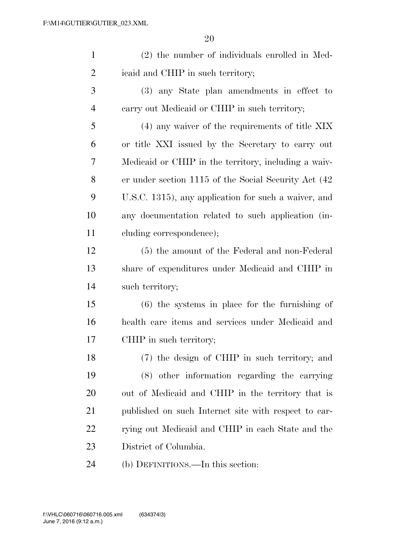| $\mathbf{1}$   | (2) the number of individuals enrolled in Med-        |
|----------------|-------------------------------------------------------|
| $\overline{2}$ | icaid and CHIP in such territory;                     |
| 3              | (3) any State plan amendments in effect to            |
| $\overline{4}$ | carry out Medicaid or CHIP in such territory;         |
| 5              | $(4)$ any waiver of the requirements of title XIX     |
| 6              | or title XXI issued by the Secretary to carry out     |
| 7              | Medicaid or CHIP in the territory, including a waiv-  |
| 8              | er under section 1115 of the Social Security Act (42) |
| 9              | U.S.C. 1315), any application for such a waiver, and  |
| 10             | any documentation related to such application (in-    |
| 11             | cluding correspondence);                              |
| 12             | (5) the amount of the Federal and non-Federal         |
| 13             | share of expenditures under Medicaid and CHIP in      |
| 14             | such territory;                                       |
| 15             | $(6)$ the systems in place for the furnishing of      |
| 16             | health care items and services under Medicaid and     |
| 17             | CHIP in such territory;                               |
| 18             | (7) the design of CHIP in such territory; and         |
| 19             | (8) other information regarding the carrying          |
| 20             | out of Medicaid and CHIP in the territory that is     |
| 21             | published on such Internet site with respect to car-  |
| 22             | rying out Medicaid and CHIP in each State and the     |
| 23             | District of Columbia.                                 |
| 24             | (b) DEFINITIONS.—In this section:                     |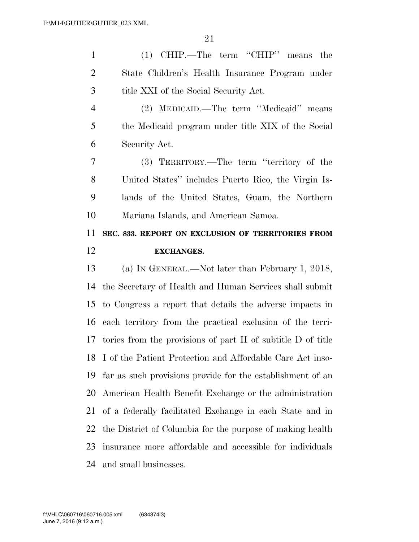(1) CHIP.—The term ''CHIP'' means the State Children's Health Insurance Program under title XXI of the Social Security Act.

 (2) MEDICAID.—The term ''Medicaid'' means the Medicaid program under title XIX of the Social Security Act.

 (3) TERRITORY.—The term ''territory of the United States'' includes Puerto Rico, the Virgin Is- lands of the United States, Guam, the Northern Mariana Islands, and American Samoa.

### **SEC. 833. REPORT ON EXCLUSION OF TERRITORIES FROM EXCHANGES.**

 (a) IN GENERAL.—Not later than February 1, 2018, the Secretary of Health and Human Services shall submit to Congress a report that details the adverse impacts in each territory from the practical exclusion of the terri- tories from the provisions of part II of subtitle D of title I of the Patient Protection and Affordable Care Act inso- far as such provisions provide for the establishment of an American Health Benefit Exchange or the administration of a federally facilitated Exchange in each State and in the District of Columbia for the purpose of making health insurance more affordable and accessible for individuals and small businesses.